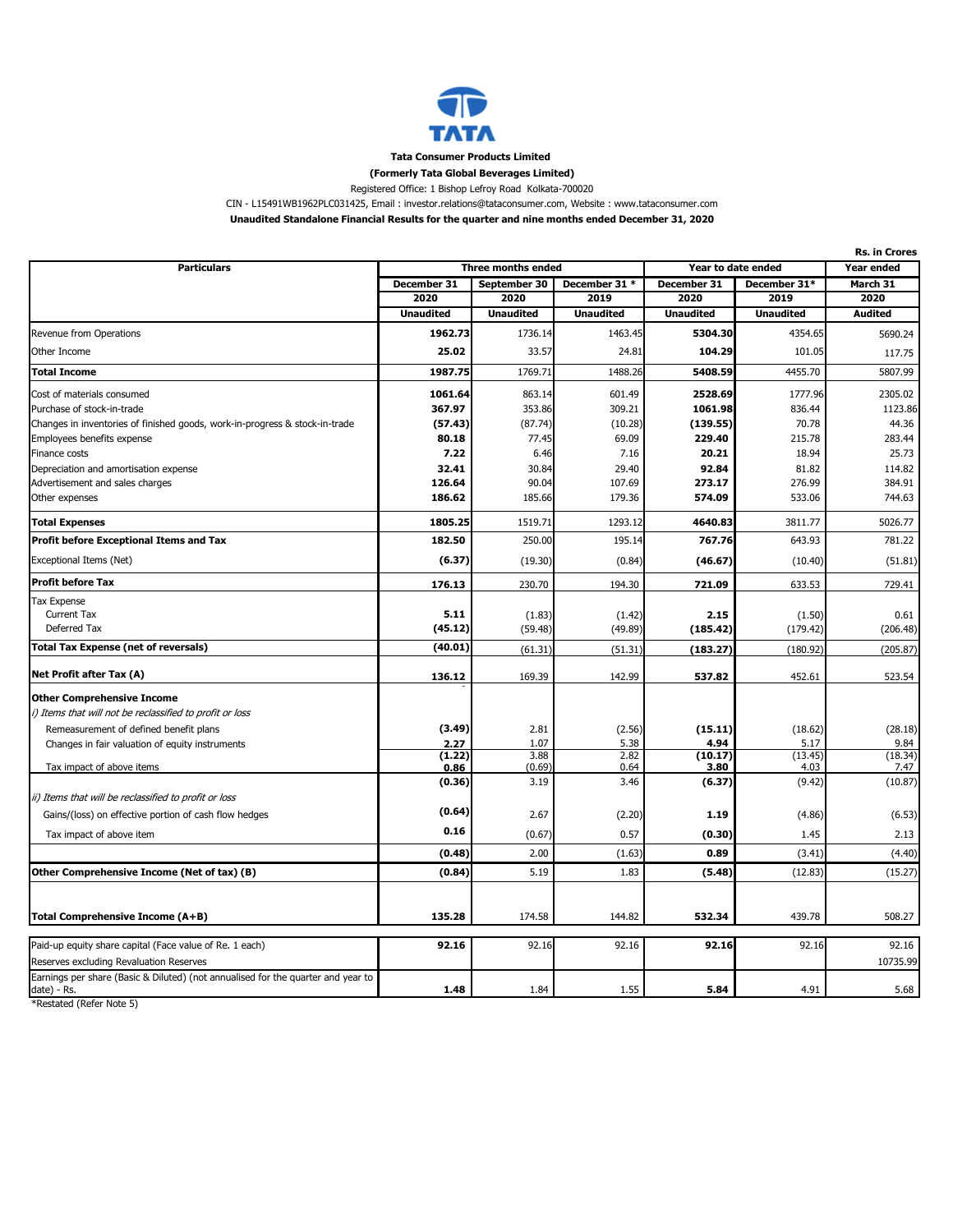

**Tata Consumer Products Limited** 

## **(Formerly Tata Global Beverages Limited)**

Registered Office: 1 Bishop Lefroy Road Kolkata-700020

CIN - L15491WB1962PLC031425, Email : investor.relations@tataconsumer.com, Website : www.tataconsumer.com

**Unaudited Standalone Financial Results for the quarter and nine months ended December 31, 2020**

|                                                                                  |                  |                    |                  |                    | <b>Rs. in Crores</b> |                |  |
|----------------------------------------------------------------------------------|------------------|--------------------|------------------|--------------------|----------------------|----------------|--|
| <b>Particulars</b>                                                               |                  | Three months ended |                  | Year to date ended |                      | Year ended     |  |
|                                                                                  | December 31      | September 30       | December 31 *    | December 31        | December 31*         | March 31       |  |
|                                                                                  | 2020             | 2020               | 2019             | 2020               | 2019                 | 2020           |  |
|                                                                                  | <b>Unaudited</b> | <b>Unaudited</b>   | <b>Unaudited</b> | <b>Unaudited</b>   | <b>Unaudited</b>     | <b>Audited</b> |  |
| Revenue from Operations                                                          | 1962.73          | 1736.14            | 1463.45          | 5304.30            | 4354.65              | 5690.24        |  |
| Other Income                                                                     | 25.02            | 33.57              | 24.81            | 104.29             | 101.05               | 117.75         |  |
| <b>Total Income</b>                                                              | 1987.75          | 1769.71            | 1488.26          | 5408.59            | 4455.70              | 5807.99        |  |
| Cost of materials consumed                                                       | 1061.64          | 863.14             | 601.49           | 2528.69            | 1777.96              | 2305.02        |  |
| Purchase of stock-in-trade                                                       | 367.97           | 353.86             | 309.21           | 1061.98            | 836.44               | 1123.86        |  |
| Changes in inventories of finished goods, work-in-progress & stock-in-trade      | (57.43)          | (87.74)            | (10.28)          | (139.55)           | 70.78                | 44.36          |  |
| Employees benefits expense                                                       | 80.18            | 77.45              | 69.09            | 229.40             | 215.78               | 283.44         |  |
| Finance costs                                                                    | 7.22             | 6.46               | 7.16             | 20.21              | 18.94                | 25.73          |  |
| Depreciation and amortisation expense                                            | 32.41            | 30.84              | 29.40            | 92.84              | 81.82                | 114.82         |  |
| Advertisement and sales charges                                                  | 126.64           | 90.04              | 107.69           | 273.17             | 276.99               | 384.91         |  |
| Other expenses                                                                   | 186.62           | 185.66             | 179.36           | 574.09             | 533.06               | 744.63         |  |
| <b>Total Expenses</b>                                                            | 1805.25          | 1519.71            | 1293.12          | 4640.83            | 3811.77              | 5026.77        |  |
| Profit before Exceptional Items and Tax                                          | 182.50           | 250.00             | 195.14           | 767.76             | 643.93               | 781.22         |  |
| Exceptional Items (Net)                                                          | (6.37)           | (19.30)            | (0.84)           | (46.67)            | (10.40)              | (51.81)        |  |
| <b>Profit before Tax</b>                                                         | 176.13           | 230.70             | 194.30           | 721.09             | 633.53               | 729.41         |  |
| Tax Expense                                                                      |                  |                    |                  |                    |                      |                |  |
| Current Tax                                                                      | 5.11             | (1.83)             | (1.42)           | 2.15               | (1.50)               | 0.61           |  |
| Deferred Tax                                                                     | (45.12)          | (59.48)            | (49.89)          | (185.42)           | (179.42)             | (206.48)       |  |
| <b>Total Tax Expense (net of reversals)</b>                                      | (40.01)          | (61.31)            | (51.31)          | (183.27)           | (180.92)             | (205.87)       |  |
| Net Profit after Tax (A)                                                         | 136.12           | 169.39             | 142.99           | 537.82             | 452.61               | 523.54         |  |
| <b>Other Comprehensive Income</b>                                                |                  |                    |                  |                    |                      |                |  |
| i) Items that will not be reclassified to profit or loss                         |                  |                    |                  |                    |                      |                |  |
| Remeasurement of defined benefit plans                                           | (3.49)           | 2.81               | (2.56)           | (15.11)            | (18.62)              | (28.18)        |  |
| Changes in fair valuation of equity instruments                                  | 2.27             | 1.07               | 5.38             | 4.94               | 5.17                 | 9.84           |  |
|                                                                                  | (1.22)           | 3.88               | 2.82             | (10.17)            | (13.45)              | (18.34)        |  |
| Tax impact of above items                                                        | 0.86             | (0.69)             | 0.64             | 3.80               | 4.03                 | 7.47           |  |
| ii) Items that will be reclassified to profit or loss                            | (0.36)           | 3.19               | 3.46             | (6.37)             | (9.42)               | (10.87)        |  |
| Gains/(loss) on effective portion of cash flow hedges                            | (0.64)           | 2.67               | (2.20)           | 1.19               | (4.86)               | (6.53)         |  |
| Tax impact of above item                                                         | 0.16             | (0.67)             | 0.57             | (0.30)             | 1.45                 | 2.13           |  |
|                                                                                  | (0.48)           | 2.00               | (1.63)           | 0.89               | (3.41)               | (4.40)         |  |
| Other Comprehensive Income (Net of tax) (B)                                      | (0.84)           | 5.19               | 1.83             | (5.48)             | (12.83)              | (15.27)        |  |
|                                                                                  |                  |                    |                  |                    |                      |                |  |
| Total Comprehensive Income (A+B)                                                 | 135.28           | 174.58             | 144.82           | 532.34             | 439.78               | 508.27         |  |
|                                                                                  |                  |                    |                  |                    |                      |                |  |
| Paid-up equity share capital (Face value of Re. 1 each)                          | 92.16            | 92.16              | 92.16            | 92.16              | 92.16                | 92.16          |  |
| Reserves excluding Revaluation Reserves                                          |                  |                    |                  |                    |                      | 10735.99       |  |
| Earnings per share (Basic & Diluted) (not annualised for the quarter and year to | 1.48             | 1.84               | 1.55             | 5.84               | 4.91                 | 5.68           |  |
| date) - Rs.                                                                      |                  |                    |                  |                    |                      |                |  |

\*Restated (Refer Note 5)